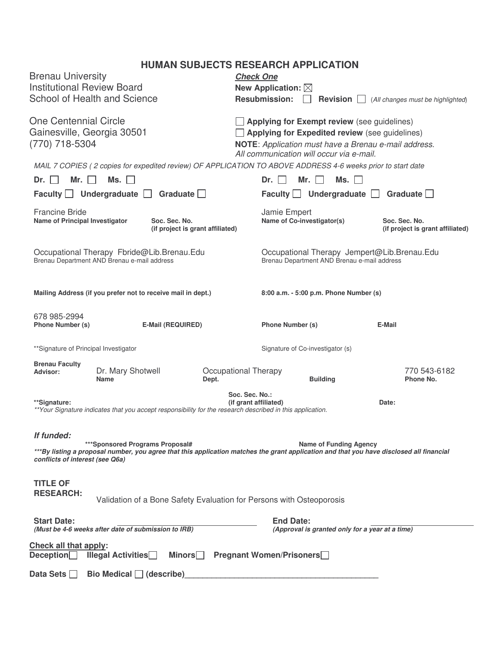# **HUMAN SUBJECTS RESEARCH APPLICATION**

|                                                                                           |                                                                                                            |                                  | <b>HUMAN SUBJECTS RESEARCH APPLICATION</b>                                                                                               |                                   |  |
|-------------------------------------------------------------------------------------------|------------------------------------------------------------------------------------------------------------|----------------------------------|------------------------------------------------------------------------------------------------------------------------------------------|-----------------------------------|--|
| <b>Brenau University</b>                                                                  |                                                                                                            |                                  | <b>Check One</b>                                                                                                                         |                                   |  |
| <b>Institutional Review Board</b>                                                         |                                                                                                            |                                  | New Application: $\boxtimes$                                                                                                             |                                   |  |
|                                                                                           | School of Health and Science                                                                               |                                  | <b>Resubmission:</b><br>Revision $\Box$                                                                                                  | (All changes must be highlighted) |  |
| <b>One Centennial Circle</b>                                                              |                                                                                                            |                                  | Applying for Exempt review (see guidelines)                                                                                              |                                   |  |
| Gainesville, Georgia 30501                                                                |                                                                                                            |                                  | Applying for Expedited review (see guidelines)<br>NOTE: Application must have a Brenau e-mail address.                                   |                                   |  |
| (770) 718-5304                                                                            |                                                                                                            |                                  | All communication will occur via e-mail.                                                                                                 |                                   |  |
|                                                                                           |                                                                                                            |                                  | MAIL 7 COPIES (2 copies for expedited review) OF APPLICATION TO ABOVE ADDRESS 4-6 weeks prior to start date                              |                                   |  |
| Mr.<br>$Dr.$ $\vert$ $\vert$                                                              | Ms.                                                                                                        |                                  | Mr. $\Box$<br>Ms.<br>$Dr.$                                                                                                               |                                   |  |
| Faculty Undergraduate                                                                     |                                                                                                            | Graduate $\Box$                  | Faculty Undergraduate                                                                                                                    | Graduate $\square$                |  |
| <b>Francine Bride</b>                                                                     |                                                                                                            |                                  | Jamie Empert                                                                                                                             |                                   |  |
| Name of Principal Investigator                                                            | Soc. Sec. No.                                                                                              |                                  | Name of Co-investigator(s)                                                                                                               | Soc. Sec. No.                     |  |
|                                                                                           |                                                                                                            | (if project is grant affiliated) |                                                                                                                                          | (if project is grant affiliated)  |  |
| Occupational Therapy Fbride@Lib.Brenau.Edu<br>Brenau Department AND Brenau e-mail address |                                                                                                            |                                  | Occupational Therapy Jempert@Lib.Brenau.Edu<br>Brenau Department AND Brenau e-mail address                                               |                                   |  |
|                                                                                           | Mailing Address (if you prefer not to receive mail in dept.)                                               |                                  | 8:00 a.m. - 5:00 p.m. Phone Number (s)                                                                                                   |                                   |  |
| 678 985-2994                                                                              |                                                                                                            |                                  |                                                                                                                                          |                                   |  |
| Phone Number (s)                                                                          | <b>E-Mail (REQUIRED)</b>                                                                                   |                                  | <b>Phone Number (s)</b>                                                                                                                  | E-Mail                            |  |
|                                                                                           |                                                                                                            |                                  |                                                                                                                                          |                                   |  |
| ** Signature of Principal Investigator                                                    |                                                                                                            |                                  | Signature of Co-investigator (s)                                                                                                         |                                   |  |
| <b>Brenau Faculty</b><br>Advisor:                                                         | Dr. Mary Shotwell                                                                                          | Occupational Therapy             |                                                                                                                                          | 770 543-6182                      |  |
|                                                                                           | <b>Name</b>                                                                                                | Dept.                            | <b>Building</b>                                                                                                                          | Phone No.                         |  |
|                                                                                           |                                                                                                            |                                  | Soc. Sec. No.:                                                                                                                           |                                   |  |
| **Signature:                                                                              |                                                                                                            |                                  | (if grant affiliated)                                                                                                                    | Date:                             |  |
|                                                                                           | ** Your Signature indicates that you accept responsibility for the research described in this application. |                                  |                                                                                                                                          |                                   |  |
|                                                                                           |                                                                                                            |                                  |                                                                                                                                          |                                   |  |
| If funded:                                                                                | ***Sponsored Programs Proposal#                                                                            |                                  | <b>Name of Funding Agency</b>                                                                                                            |                                   |  |
| conflicts of interest (see Q6a)                                                           |                                                                                                            |                                  | ***By listing a proposal number, you agree that this application matches the grant application and that you have disclosed all financial |                                   |  |
|                                                                                           |                                                                                                            |                                  |                                                                                                                                          |                                   |  |
| <b>TITLE OF</b><br><b>RESEARCH:</b>                                                       |                                                                                                            |                                  |                                                                                                                                          |                                   |  |
|                                                                                           |                                                                                                            |                                  | Validation of a Bone Safety Evaluation for Persons with Osteoporosis                                                                     |                                   |  |
| <b>Start Date:</b>                                                                        |                                                                                                            |                                  | <b>End Date:</b>                                                                                                                         |                                   |  |
|                                                                                           | (Must be 4-6 weeks after date of submission to IRB)                                                        |                                  | (Approval is granted only for a year at a time)                                                                                          |                                   |  |
| Check all that apply:<br>Deception                                                        | <b>Illegal Activities</b>                                                                                  | <b>Minors</b>                    | <b>Pregnant Women/Prisoners</b>                                                                                                          |                                   |  |
|                                                                                           |                                                                                                            |                                  |                                                                                                                                          |                                   |  |
| Data Sets                                                                                 | Bio Medical (describe)                                                                                     |                                  |                                                                                                                                          |                                   |  |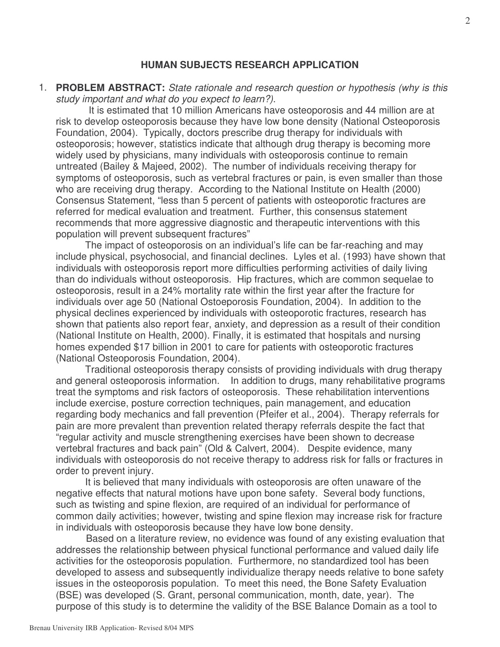#### **HUMAN SUBJECTS RESEARCH APPLICATION**

1. **PROBLEM ABSTRACT:** *State rationale and research question or hypothesis (why is this study important and what do you expect to learn?)*.

It is estimated that 10 million Americans have osteoporosis and 44 million are at risk to develop osteoporosis because they have low bone density (National Osteoporosis Foundation, 2004). Typically, doctors prescribe drug therapy for individuals with osteoporosis; however, statistics indicate that although drug therapy is becoming more widely used by physicians, many individuals with osteoporosis continue to remain untreated (Bailey & Majeed, 2002). The number of individuals receiving therapy for symptoms of osteoporosis, such as vertebral fractures or pain, is even smaller than those who are receiving drug therapy. According to the National Institute on Health (2000) Consensus Statement, "less than 5 percent of patients with osteoporotic fractures are referred for medical evaluation and treatment. Further, this consensus statement recommends that more aggressive diagnostic and therapeutic interventions with this population will prevent subsequent fractures"

The impact of osteoporosis on an individual's life can be far-reaching and may include physical, psychosocial, and financial declines. Lyles et al. (1993) have shown that individuals with osteoporosis report more difficulties performing activities of daily living than do individuals without osteoporosis. Hip fractures, which are common sequelae to osteoporosis, result in a 24% mortality rate within the first year after the fracture for individuals over age 50 (National Ostoeporosis Foundation, 2004). In addition to the physical declines experienced by individuals with osteoporotic fractures, research has shown that patients also report fear, anxiety, and depression as a result of their condition (National Institute on Health, 2000). Finally, it is estimated that hospitals and nursing homes expended \$17 billion in 2001 to care for patients with osteoporotic fractures (National Osteoporosis Foundation, 2004).

Traditional osteoporosis therapy consists of providing individuals with drug therapy and general osteoporosis information. In addition to drugs, many rehabilitative programs treat the symptoms and risk factors of osteoporosis. These rehabilitation interventions include exercise, posture correction techniques, pain management, and education regarding body mechanics and fall prevention (Pfeifer et al., 2004). Therapy referrals for pain are more prevalent than prevention related therapy referrals despite the fact that "regular activity and muscle strengthening exercises have been shown to decrease vertebral fractures and back pain" (Old & Calvert, 2004). Despite evidence, many individuals with osteoporosis do not receive therapy to address risk for falls or fractures in order to prevent injury.

It is believed that many individuals with osteoporosis are often unaware of the negative effects that natural motions have upon bone safety. Several body functions, such as twisting and spine flexion, are required of an individual for performance of common daily activities; however, twisting and spine flexion may increase risk for fracture in individuals with osteoporosis because they have low bone density.

Based on a literature review, no evidence was found of any existing evaluation that addresses the relationship between physical functional performance and valued daily life activities for the osteoporosis population. Furthermore, no standardized tool has been developed to assess and subsequently individualize therapy needs relative to bone safety issues in the osteoporosis population. To meet this need, the Bone Safety Evaluation (BSE) was developed (S. Grant, personal communication, month, date, year). The purpose of this study is to determine the validity of the BSE Balance Domain as a tool to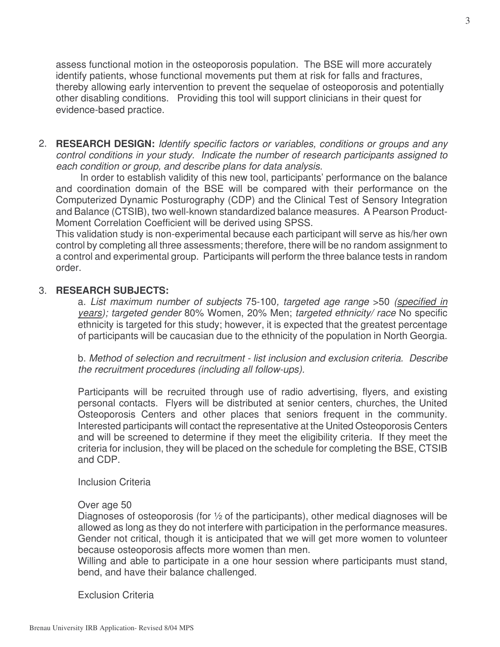assess functional motion in the osteoporosis population. The BSE will more accurately identify patients, whose functional movements put them at risk for falls and fractures, thereby allowing early intervention to prevent the sequelae of osteoporosis and potentially other disabling conditions. Providing this tool will support clinicians in their quest for evidence-based practice.

2. **RESEARCH DESIGN:** *Identify specific factors or variables, conditions or groups and any control conditions in your study. Indicate the number of research participants assigned to each condition or group, and describe plans for data analysis*.

In order to establish validity of this new tool, participants' performance on the balance and coordination domain of the BSE will be compared with their performance on the Computerized Dynamic Posturography (CDP) and the Clinical Test of Sensory Integration and Balance (CTSIB), two well-known standardized balance measures. A Pearson Product-Moment Correlation Coefficient will be derived using SPSS.

This validation study is non-experimental because each participant will serve as his/her own control by completing all three assessments; therefore, there will be no random assignment to a control and experimental group. Participants will perform the three balance tests in random order.

### 3. **RESEARCH SUBJECTS:**

a. *List maximum number of subjects* 75-100*, targeted age range* >50 *(specified in years); targeted gender* 80% Women, 20% Men; *targeted ethnicity/ race* No specific ethnicity is targeted for this study; however, it is expected that the greatest percentage of participants will be caucasian due to the ethnicity of the population in North Georgia.

b. *Method of selection and recruitment - list inclusion and exclusion criteria. Describe the recruitment procedures (including all follow-ups).*

Participants will be recruited through use of radio advertising, flyers, and existing personal contacts. Flyers will be distributed at senior centers, churches, the United Osteoporosis Centers and other places that seniors frequent in the community. Interested participants will contact the representative at the United Osteoporosis Centers and will be screened to determine if they meet the eligibility criteria. If they meet the criteria for inclusion, they will be placed on the schedule for completing the BSE, CTSIB and CDP.

Inclusion Criteria

#### Over age 50

Diagnoses of osteoporosis (for ½ of the participants), other medical diagnoses will be allowed as long as they do not interfere with participation in the performance measures. Gender not critical, though it is anticipated that we will get more women to volunteer because osteoporosis affects more women than men.

Willing and able to participate in a one hour session where participants must stand, bend, and have their balance challenged.

Exclusion Criteria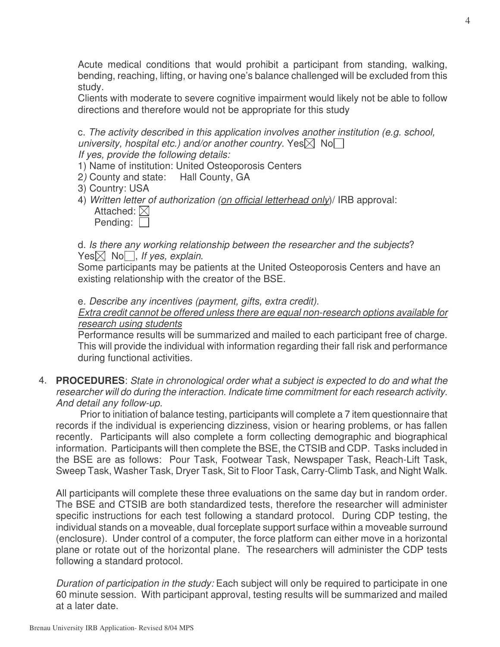Acute medical conditions that would prohibit a participant from standing, walking, bending, reaching, lifting, or having one's balance challenged will be excluded from this study.

Clients with moderate to severe cognitive impairment would likely not be able to follow directions and therefore would not be appropriate for this study

c. *The activity described in this application involves another institution (e.g. school, university, hospital etc.) and/or another country.* Yes $\nabla$  No $\nabla$ *If yes, provide the following details:*

- 1) Name of institution: United Osteoporosis Centers
- 2*)* County and state: Hall County, GA
- 3) Country: USA
- 4) *Written letter of authorization (on official letterhead only*)/ IRB approval: Attached:  $\boxtimes$

| Pending: |  |
|----------|--|
|          |  |

d. *Is there any working relationship between the researcher and the subjects*?  $Yes \boxtimes No \square$ , *If yes, explain.* 

Some participants may be patients at the United Osteoporosis Centers and have an existing relationship with the creator of the BSE.

e. *Describe any incentives (payment, gifts, extra credit).*

*Extra credit cannot be offered unless there are equal non-research options available for research using students*

Performance results will be summarized and mailed to each participant free of charge. This will provide the individual with information regarding their fall risk and performance during functional activities.

4. **PROCEDURES**: *State in chronological order what a subject is expected to do and what the researcher will do during the interaction. Indicate time commitment for each research activity*. *And detail any follow-up.*

Prior to initiation of balance testing, participants will complete a 7 item questionnaire that records if the individual is experiencing dizziness, vision or hearing problems, or has fallen recently. Participants will also complete a form collecting demographic and biographical information. Participants will then complete the BSE, the CTSIB and CDP. Tasks included in the BSE are as follows: Pour Task, Footwear Task, Newspaper Task, Reach-Lift Task, Sweep Task, Washer Task, Dryer Task, Sit to Floor Task, Carry-Climb Task, and Night Walk.

All participants will complete these three evaluations on the same day but in random order. The BSE and CTSIB are both standardized tests, therefore the researcher will administer specific instructions for each test following a standard protocol. During CDP testing, the individual stands on a moveable, dual forceplate support surface within a moveable surround (enclosure). Under control of a computer, the force platform can either move in a horizontal plane or rotate out of the horizontal plane. The researchers will administer the CDP tests following a standard protocol.

*Duration of participation in the study:* Each subject will only be required to participate in one 60 minute session. With participant approval, testing results will be summarized and mailed at a later date.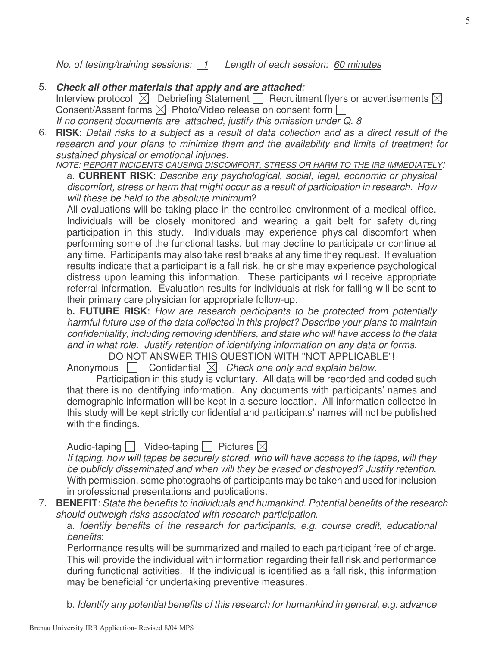*No. of testing/training sessions:\_\_1\_ Length of each session:\_60 minutes*

## 5. *Check all other materials that apply and are attached:*

Interview protocol  $\boxtimes$  Debriefing Statement  $\Box$  Recruitment flyers or advertisements  $\boxtimes$ Consent/Assent forms  $\boxtimes$  Photo/Video release on consent form  $\Box$ *If no consent documents are attached, justify this omission under Q. 8*

6. RISK: Detail risks to a subject as a result of data collection and as a direct result of the *research and your plans to minimize them and the availability and limits of treatment for sustained physical or emotional injuries.*

*NOTE: REPORT INCIDENTS CAUSING DISCOMFORT, STRESS OR HARM TO THE IRB IMMEDIATELY!*

a. **CURRENT RISK**: *Describe any psychological, social, legal, economic or physical discomfort, stress or harm that might occur as a result of participation in research. How will these be held to the absolute minimum*?

All evaluations will be taking place in the controlled environment of a medical office. Individuals will be closely monitored and wearing a gait belt for safety during participation in this study. Individuals may experience physical discomfort when performing some of the functional tasks, but may decline to participate or continue at any time. Participants may also take rest breaks at any time they request. If evaluation results indicate that a participant is a fall risk, he or she may experience psychological distress upon learning this information. These participants will receive appropriate referral information. Evaluation results for individuals at risk for falling will be sent to their primary care physician for appropriate follow-up.

b**. FUTURE RISK**: *How are research participants to be protected from potentially harmful future use of the data collected in this project? Describe your plans to maintain confidentiality, including removing identifiers, and state who will have access to the data and in what role. Justify retention of identifying information on any data or forms*.

DO NOT ANSWER THIS QUESTION WITH "NOT APPLICABLE"!

Anonymous  $\Box$  Confidential  $\boxtimes$  Check one only and explain below.

Participation in this study is voluntary. All data will be recorded and coded such that there is no identifying information. Any documents with participants' names and demographic information will be kept in a secure location. All information collected in this study will be kept strictly confidential and participants' names will not be published with the findings.

Audio-taping  $\Box$  Video-taping  $\Box$  Pictures  $\boxtimes$ 

*If taping, how will tapes be securely stored, who will have access to the tapes, will they be publicly disseminated and when will they be erased or destroyed? Justify retention*. With permission, some photographs of participants may be taken and used for inclusion in professional presentations and publications.

7. **BENEFIT**: *State the benefits to individuals and humankind. Potential benefits of the research should outweigh risks associated with research participation*.

a. *Identify benefits of the research for participants, e.g. course credit, educational benefits*:

Performance results will be summarized and mailed to each participant free of charge. This will provide the individual with information regarding their fall risk and performance during functional activities. If the individual is identified as a fall risk, this information may be beneficial for undertaking preventive measures.

b. *Identify any potential benefits of this research for humankind in general, e.g. advance*

5